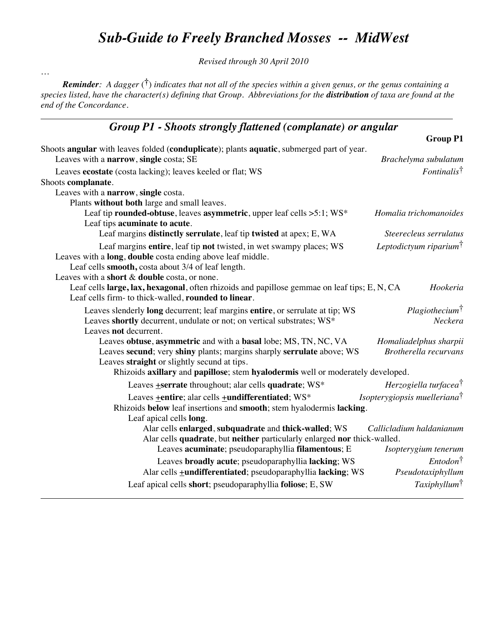# *Sub-Guide to Freely Branched Mosses -- MidWest*

*Revised through 30 April 2010*

*Reminder: A dagger* (**†**) *indicates that not all of the species within a given genus, or the genus containing a species listed, have the character(s) defining that Group. Abbreviations for the distribution of taxa are found at the end of the Concordance.*

…

### *Group P1 - Shoots strongly flattened (complanate) or angular*

|                                                                                                                                                                                                                                         | <b>Group P1</b>                          |
|-----------------------------------------------------------------------------------------------------------------------------------------------------------------------------------------------------------------------------------------|------------------------------------------|
| Shoots angular with leaves folded (conduplicate); plants aquatic, submerged part of year.<br>Leaves with a narrow, single costa; SE                                                                                                     | Brachelyma subulatum                     |
| Leaves ecostate (costa lacking); leaves keeled or flat; WS                                                                                                                                                                              | $Fontinalis^{\dagger}$                   |
| Shoots complanate.                                                                                                                                                                                                                      |                                          |
| Leaves with a narrow, single costa.                                                                                                                                                                                                     |                                          |
| Plants without both large and small leaves.                                                                                                                                                                                             |                                          |
| Leaf tip rounded-obtuse, leaves asymmetric, upper leaf cells >5:1; WS*<br>Leaf tips acuminate to acute.                                                                                                                                 | Homalia trichomanoides                   |
| Leaf margins distinctly serrulate, leaf tip twisted at apex; E, WA                                                                                                                                                                      | Steerecleus serrulatus                   |
| Leaf margins entire, leaf tip not twisted, in wet swampy places; WS<br>Leaves with a long, double costa ending above leaf middle.<br>Leaf cells smooth, costa about 3/4 of leaf length.<br>Leaves with a short & double costa, or none. | Leptodictyum riparium <sup>†</sup>       |
| Leaf cells large, lax, hexagonal, often rhizoids and papillose gemmae on leaf tips; E, N, CA<br>Leaf cells firm- to thick-walled, rounded to linear.                                                                                    | Hookeria                                 |
| Leaves slenderly long decurrent; leaf margins entire, or serrulate at tip; WS                                                                                                                                                           | Plagiothecium <sup>†</sup>               |
| Leaves shortly decurrent, undulate or not; on vertical substrates; WS*<br>Leaves not decurrent.                                                                                                                                         | Neckera                                  |
| Leaves obtuse, asymmetric and with a basal lobe; MS, TN, NC, VA                                                                                                                                                                         | Homaliadelphus sharpii                   |
| Leaves secund; very shiny plants; margins sharply serrulate above; WS<br>Leaves straight or slightly secund at tips.                                                                                                                    | Brotherella recurvans                    |
| Rhizoids axillary and papillose; stem hyalodermis well or moderately developed.                                                                                                                                                         |                                          |
| Leaves <b>+serrate</b> throughout; alar cells quadrate; WS*                                                                                                                                                                             | Herzogiella turfacea <sup>†</sup>        |
| Leaves + entire; alar cells + undifferentiated; WS*                                                                                                                                                                                     | Isopterygiopsis muelleriana <sup>†</sup> |
| Rhizoids below leaf insertions and smooth; stem hyalodermis lacking.<br>Leaf apical cells long.                                                                                                                                         |                                          |
| Alar cells enlarged, subquadrate and thick-walled; WS<br>Alar cells quadrate, but neither particularly enlarged nor thick-walled.                                                                                                       | Callicladium haldanianum                 |
| Leaves acuminate; pseudoparaphyllia filamentous; E                                                                                                                                                                                      | Isopterygium tenerum                     |
| Leaves broadly acute; pseudoparaphyllia lacking; WS<br>Alar cells <b>+undifferentiated</b> ; pseudoparaphyllia lacking; WS                                                                                                              | $Entodon^{\dagger}$<br>Pseudotaxiphyllum |
| Leaf apical cells short; pseudoparaphyllia foliose; E, SW                                                                                                                                                                               | Taxiphyllum <sup>†</sup>                 |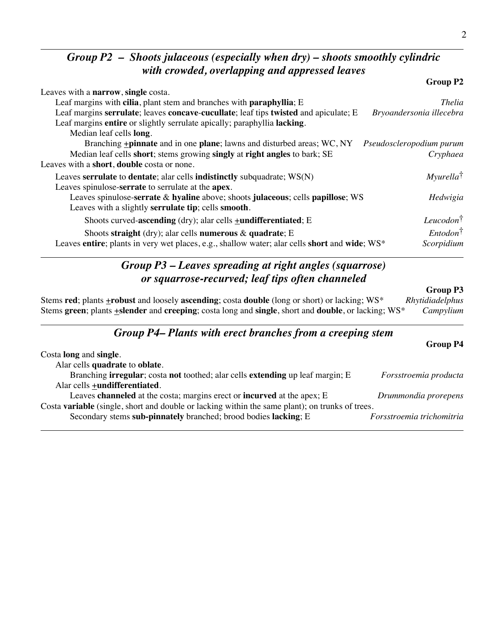### *Group P2 – Shoots julaceous (especially when dry) – shoots smoothly cylindric with crowded, overlapping and appressed leaves*

|                                                                                               | Group P2                 |
|-----------------------------------------------------------------------------------------------|--------------------------|
| Leaves with a <b>narrow</b> , single costa.                                                   |                          |
| Leaf margins with cilia, plant stem and branches with paraphyllia; E                          | <b>Thelia</b>            |
| Leaf margins serrulate; leaves concave-cucullate; leaf tips twisted and apiculate; E          | Bryoandersonia illecebra |
| Leaf margins entire or slightly serrulate apically; paraphyllia lacking.                      |                          |
| Median leaf cells long.                                                                       |                          |
| Branching <b>+pinnate</b> and in one <b>plane</b> ; lawns and disturbed areas; WC, NY         | Pseudoscleropodium purum |
| Median leaf cells short; stems growing singly at right angles to bark; SE                     | Cryphaea                 |
| Leaves with a short, double costa or none.                                                    |                          |
| Leaves serrulate to dentate; alar cells indistinctly subquadrate; WS(N)                       | $Myurella^{\dagger}$     |
| Leaves spinulose-serrate to serrulate at the apex.                                            |                          |
| Leaves spinulose-serrate & hyaline above; shoots julaceous; cells papillose; WS               | Hedwigia                 |
| Leaves with a slightly serrulate tip; cells smooth.                                           |                          |
| Shoots curved-ascending (dry); alar cells $\pm$ undifferentiated; E                           | $Leucodon^{\dagger}$     |
| Shoots straight (dry); alar cells numerous $\&$ quadrate; E                                   | $Entodon^{\dagger}$      |
| Leaves entire; plants in very wet places, e.g., shallow water; alar cells short and wide; WS* | Scorpidium               |

# *Group P3 – Leaves spreading at right angles (squarrose) or squarrose-recurved; leaf tips often channeled*

#### **Group P3**

Stems **red**; plants **+robust** and loosely **ascending**; costa **double** (long or short) or lacking; WS\* *Rhytidiadelphus* Stems **green**; plants +**slender** and **creeping**; costa long and **single**, short and **double**, or lacking; WS\* *Campylium*

#### *Group P4– Plants with erect branches from a creeping stem*

|                                                                                                 | <b>Group P4</b>           |
|-------------------------------------------------------------------------------------------------|---------------------------|
| Costa <b>long</b> and <b>single</b> .                                                           |                           |
| Alar cells quadrate to oblate.                                                                  |                           |
| Branching <b>irregular</b> ; costa not toothed; alar cells <b>extending</b> up leaf margin; E   | Forsstroemia producta     |
| Alar cells +undifferentiated.                                                                   |                           |
| Leaves channeled at the costa; margins erect or incurved at the apex; E                         | Drummondia prorepens      |
| Costa variable (single, short and double or lacking within the same plant); on trunks of trees. |                           |
| Secondary stems sub-pinnately branched; brood bodies lacking; E                                 | Forsstroemia trichomitria |
|                                                                                                 |                           |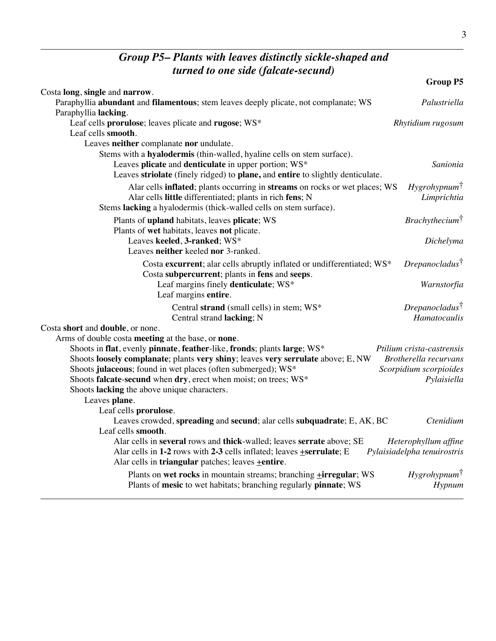## *Group P5– Plants with leaves distinctly sickle-shaped and turned to one side (falcate-secund)*

|                                                                                                                                | <b>Group P5</b>              |
|--------------------------------------------------------------------------------------------------------------------------------|------------------------------|
| Costa long, single and narrow.                                                                                                 |                              |
| Paraphyllia abundant and filamentous; stem leaves deeply plicate, not complanate; WS                                           | Palustriella                 |
| Paraphyllia lacking.                                                                                                           |                              |
| Leaf cells prorulose; leaves plicate and rugose; WS*                                                                           | Rhytidium rugosum            |
| Leaf cells smooth.                                                                                                             |                              |
| Leaves neither complanate nor undulate.                                                                                        |                              |
| Stems with a hyalodermis (thin-walled, hyaline cells on stem surface).<br>Leaves plicate and denticulate in upper portion; WS* | Sanionia                     |
| Leaves striolate (finely ridged) to plane, and entire to slightly denticulate.                                                 |                              |
| Alar cells inflated; plants occurring in streams on rocks or wet places; WS                                                    | $Hy$ grohypnum $\bar{f}$     |
| Alar cells little differentiated; plants in rich fens; N                                                                       | Limprichtia                  |
| Stems lacking a hyalodermis (thick-walled cells on stem surface).                                                              |                              |
|                                                                                                                                | Brachy the cium <sup>†</sup> |
| Plants of upland habitats, leaves plicate; WS<br>Plants of wet habitats, leaves not plicate.                                   |                              |
| Leaves keeled, 3-ranked; WS*                                                                                                   | Dichelyma                    |
| Leaves neither keeled nor 3-ranked.                                                                                            |                              |
| Costa excurrent; alar cells abruptly inflated or undifferentiated; WS*                                                         | $D$ repanocladus $\bar{1}$   |
| Costa subpercurrent; plants in fens and seeps.                                                                                 |                              |
| Leaf margins finely denticulate; WS*                                                                                           | Warnstorfia                  |
| Leaf margins entire.                                                                                                           |                              |
| Central strand (small cells) in stem; WS*                                                                                      | $D$ repanocladus $\bar{1}$   |
| Central strand lacking; N                                                                                                      | Hamatocaulis                 |
| Costa short and double, or none.                                                                                               |                              |
| Arms of double costa meeting at the base, or none.                                                                             |                              |
| Shoots in flat, evenly pinnate, feather-like, fronds; plants large; WS*                                                        | Ptilium crista-castrensis    |
| Shoots loosely complanate; plants very shiny; leaves very serrulate above; E, NW                                               | Brotherella recurvans        |
| Shoots julaceous; found in wet places (often submerged); WS*                                                                   | Scorpidium scorpioides       |
| Shoots falcate-secund when dry, erect when moist; on trees; WS*                                                                | Pylaisiella                  |
| Shoots lacking the above unique characters.                                                                                    |                              |
| Leaves plane.                                                                                                                  |                              |
| Leaf cells prorulose.<br>Leaves crowded, spreading and secund; alar cells subquadrate; E, AK, BC                               | Ctenidium                    |
| Leaf cells smooth.                                                                                                             |                              |
| Alar cells in several rows and thick-walled; leaves serrate above; SE                                                          | Heterophyllum affine         |
| Alar cells in 1-2 rows with 2-3 cells inflated; leaves +serrulate; E                                                           | Pylaisiadelpha tenuirostris  |
| Alar cells in triangular patches; leaves +entire.                                                                              |                              |
| Plants on wet rocks in mountain streams; branching <b>+irregular</b> ; WS                                                      | $Hy$ grohypnum $\uparrow$    |
| Plants of mesic to wet habitats; branching regularly pinnate; WS                                                               | Hypnum                       |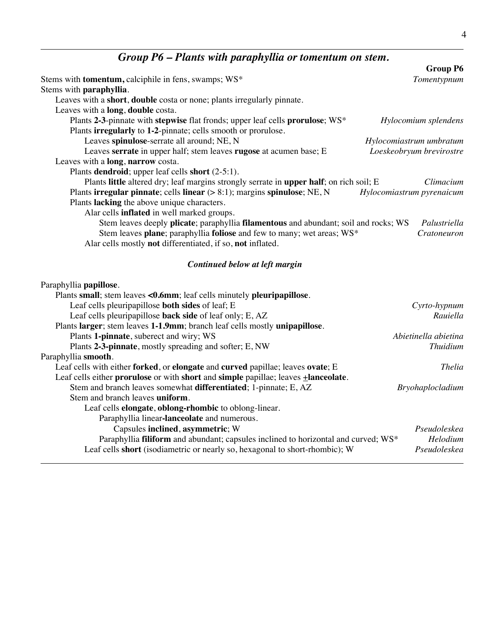# *Group P6 – Plants with paraphyllia or tomentum on stem.*

|                                                                                         | <b>Group P6</b>           |
|-----------------------------------------------------------------------------------------|---------------------------|
| Stems with tomentum, calciphile in fens, swamps; WS*                                    | Tomentypnum               |
| Stems with paraphyllia.                                                                 |                           |
| Leaves with a short, double costa or none; plants irregularly pinnate.                  |                           |
| Leaves with a long, double costa.                                                       |                           |
| Plants 2-3-pinnate with stepwise flat fronds; upper leaf cells prorulose; WS*           | Hylocomium splendens      |
| Plants irregularly to 1-2-pinnate; cells smooth or prorulose.                           |                           |
| Leaves spinulose-serrate all around; NE, N                                              | Hylocomiastrum umbratum   |
| Leaves serrate in upper half; stem leaves rugose at acumen base; E                      | Loeskeobryum brevirostre  |
| Leaves with a long, narrow costa.                                                       |                           |
| Plants dendroid; upper leaf cells short (2-5:1).                                        |                           |
| Plants little altered dry; leaf margins strongly serrate in upper half; on rich soil; E | Climacium                 |
| Plants irregular pinnate; cells linear $(> 8:1)$ ; margins spinulose; NE, N             | Hylocomiastrum pyrenaicum |
| Plants lacking the above unique characters.                                             |                           |
| Alar cells <b>inflated</b> in well marked groups.                                       |                           |
| Stem leaves deeply plicate; paraphyllia filamentous and abundant; soil and rocks; WS    | Palustriella              |
| Stem leaves plane; paraphyllia foliose and few to many; wet areas; WS*                  | Cratoneuron               |
| Alar cells mostly not differentiated, if so, not inflated.                              |                           |
|                                                                                         |                           |
| Continued below at left margin                                                          |                           |
| Paraphyllia papillose.                                                                  |                           |
| Plants small; stem leaves <0.6mm; leaf cells minutely pleuripapillose.                  |                           |
| Leaf cells pleuripapillose both sides of leaf; E                                        | Cyrto-hypnum              |
| Leaf cells pleuripapillose back side of leaf only; E, AZ                                | Rauiella                  |
| Plants larger; stem leaves 1-1.9mm; branch leaf cells mostly unipapillose.              |                           |
| Plants 1-pinnate, suberect and wiry; WS                                                 | Abietinella abietina      |
| Plants 2-3-pinnate, mostly spreading and softer; E, NW                                  | <b>Thuidium</b>           |
| Paraphyllia smooth.                                                                     |                           |
| Leaf cells with either forked, or elongate and curved papillae; leaves ovate; E         | <b>Thelia</b>             |
| Leaf cells either prorulose or with short and simple papillae; leaves +lanceolate.      |                           |
| Stem and branch leaves somewhat differentiated; 1-pinnate; E, AZ                        | Bryohaplocladium          |
| Stem and branch leaves uniform.                                                         |                           |
| Leaf cells elongate, oblong-rhombic to oblong-linear.                                   |                           |
| Paraphyllia linear-lanceolate and numerous.                                             |                           |
| Capsules inclined, asymmetric; W                                                        | Pseudoleskea              |
| Paraphyllia filiform and abundant; capsules inclined to horizontal and curved; WS*      | Helodium                  |
| Leaf cells short (isodiametric or nearly so, hexagonal to short-rhombic); W             | Pseudoleskea              |
|                                                                                         |                           |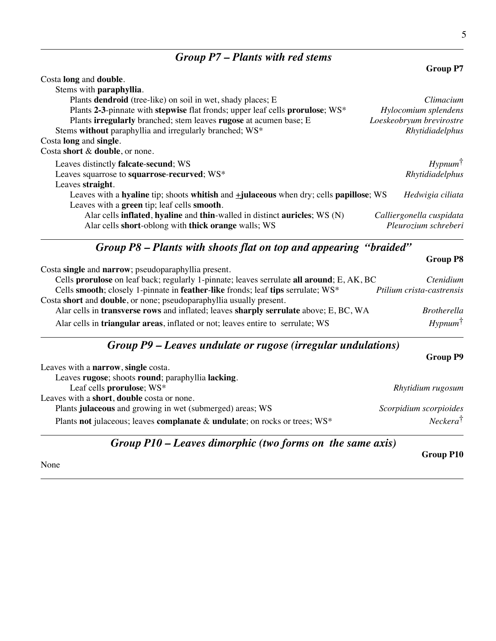# *Group P7 – Plants with red stems*

| Costa long and double.                                                                      |                          |
|---------------------------------------------------------------------------------------------|--------------------------|
| Stems with paraphyllia.                                                                     |                          |
| Plants dendroid (tree-like) on soil in wet, shady places; E                                 | Climacium                |
| Plants 2-3-pinnate with stepwise flat fronds; upper leaf cells prorulose; WS*               | Hylocomium splendens     |
| Plants irregularly branched; stem leaves rugose at acumen base; E                           | Loeskeobryum brevirostre |
| Stems without paraphyllia and irregularly branched; WS*                                     | Rhytidiadelphus          |
| Costa long and single.                                                                      |                          |
| Costa short & double, or none.                                                              |                          |
| Leaves distinctly <b>falcate-secund</b> ; WS                                                | $Hypnum$ <sup>†</sup>    |
| Leaves squarrose to squarrose-recurved; WS*                                                 | Rhytidiadelphus          |
| Leaves straight.                                                                            |                          |
| Leaves with a hyaline tip; shoots whitish and $\pm$ julaceous when dry; cells papillose; WS | Hedwigia ciliata         |
| Leaves with a green tip; leaf cells smooth.                                                 |                          |
| Alar cells <b>inflated</b> , hyaline and thin-walled in distinct <b>auricles</b> ; $WS(N)$  | Calliergonella cuspidata |
| Alar cells short-oblong with thick orange walls; WS                                         | Pleurozium schreberi     |

# *Group P8 – Plants with shoots flat on top and appearing "braided"*

|                                                                                              | <b>Group P8</b>           |
|----------------------------------------------------------------------------------------------|---------------------------|
| Costa single and narrow; pseudoparaphyllia present.                                          |                           |
| Cells prorulose on leaf back; regularly 1-pinnate; leaves serrulate all around; E, AK, BC    | Ctenidium                 |
| Cells smooth; closely 1-pinnate in feather-like fronds; leaf tips serrulate; WS*             | Ptilium crista-castrensis |
| Costa short and double, or none; pseudoparaphyllia usually present.                          |                           |
| Alar cells in transverse rows and inflated; leaves sharply serrulate above; E, BC, WA        | <i>Brotherella</i>        |
| Alar cells in <b>triangular areas</b> , inflated or not; leaves entire to serrulate; WS      | $Hypnum$ <sup>†</sup>     |
| $C_{\text{max}}$ $D0$ I cause and data converges $($ cause of $\omega$ and $L1$ $\omega$ and |                           |

#### *Group P9 – Leaves undulate or rugose (irregular undulations)*

|                                                                            | <b>Group P9</b>        |
|----------------------------------------------------------------------------|------------------------|
| Leaves with a <b>narrow</b> , single costa.                                |                        |
| Leaves rugose; shoots round; paraphyllia lacking.                          |                        |
| Leaf cells prorulose; WS*                                                  | Rhytidium rugosum      |
| Leaves with a short, double costa or none.                                 |                        |
| Plants julaceous and growing in wet (submerged) areas; WS                  | Scorpidium scorpioides |
| Plants not julaceous; leaves complanate & undulate; on rocks or trees; WS* | $Neckera^{\dagger}$    |

# *Group P10 – Leaves dimorphic (two forms on the same axis)*

None

**Group P10**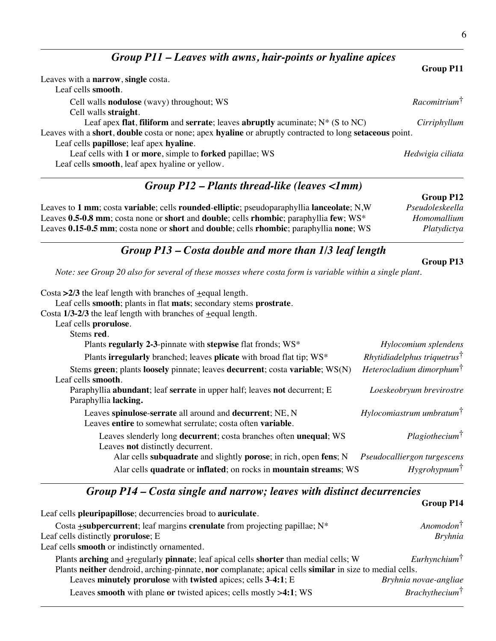*Group P11 – Leaves with awns, hair-points or hyaline apices*

**Group P11** Leaves with a **narrow**, **single** costa. Leaf cells **smooth**. Cell walls **nodulose** (wavy) throughout; WS *Racomitrium*† Cell walls **straight**. Leaf apex **flat**, **filiform** and **serrate**; leaves **abruptly** acuminate; N\* (S to NC) *Cirriphyllum* Leaves with a **short**, **double** costa or none; apex **hyaline** or abruptly contracted to long **setaceous** point. Leaf cells **papillose**; leaf apex **hyaline**. Leaf cells with **1** or **more**, simple to **forked** papillae; WS *Hedwigia ciliata* Leaf cells **smooth**, leaf apex hyaline or yellow.

#### *Group P12 – Plants thread-like (leaves <1mm)*

**Group P12** Leaves to **1 mm**; costa **variable**; cells **rounded**-**elliptic**; pseudoparaphyllia **lanceolate**; N,W *Pseudoleskeella* Leaves **0.5-0.8 mm**; costa none or **short** and **double**; cells **rhombic**; paraphyllia **few**; WS\* *Homomallium* Leaves **0.15-0.5 mm**; costa none or **short** and **double**; cells **rhombic**; paraphyllia **none**; WS *Platydictya*

### *Group P13 – Costa double and more than 1/3 leaf length*

*Note: see Group 20 also for several of these mosses where costa form is variable within a single plant.*

| Costa $\geq$ 2/3 the leaf length with branches of $\pm$ equal length.<br>Leaf cells smooth; plants in flat mats; secondary stems prostrate. |                                         |
|---------------------------------------------------------------------------------------------------------------------------------------------|-----------------------------------------|
| Costa $1/3-2/3$ the leaf length with branches of $\pm$ equal length.                                                                        |                                         |
| Leaf cells prorulose.                                                                                                                       |                                         |
| Stems red.                                                                                                                                  |                                         |
| Plants regularly 2-3-pinnate with stepwise flat fronds; WS*                                                                                 | Hylocomium splendens                    |
| Plants irregularly branched; leaves plicate with broad flat tip; WS*                                                                        | $Rhvtidiadelphus\ triguetrus^{\dagger}$ |
| Stems green; plants loosely pinnate; leaves decurrent; costa variable; WS(N)<br>Leaf cells smooth.                                          | Heterocladium dimorphum <sup>†</sup>    |
| Paraphyllia abundant; leaf serrate in upper half; leaves not decurrent; E<br>Paraphyllia lacking.                                           | Loeskeobryum brevirostre                |
| Leaves spinulose-serrate all around and decurrent; NE, N<br>Leaves entire to somewhat serrulate; costa often variable.                      | $H$ ylocomiastrum umbratum $^{\dagger}$ |
| Leaves slenderly long <b>decurrent</b> ; costa branches often <b>unequal</b> ; WS<br>Leaves not distinctly decurrent.                       | Plagio the cium <sup>†</sup>            |
| Alar cells subquadrate and slightly porose; in rich, open fens; N                                                                           | Pseudocalliergon turgescens             |
| Alar cells quadrate or inflated; on rocks in mountain streams; WS                                                                           | $Hy$ grohypnum <sup>†</sup>             |

### *Group P14 – Costa single and narrow; leaves with distinct decurrencies*

| Leaf cells pleuripapillose; decurrencies broad to auriculate.                                           |                              |
|---------------------------------------------------------------------------------------------------------|------------------------------|
| Costa <b>+subpercurrent</b> ; leaf margins <b>crenulate</b> from projecting papillae; N*                | $Anomodon^{\dagger}$         |
| Leaf cells distinctly <b>prorulose</b> ; E                                                              | <b>Bryhnia</b>               |
| Leaf cells smooth or indistinctly ornamented.                                                           |                              |
| Plants arching and +regularly pinnate; leaf apical cells shorter than medial cells; W                   | $Eurh$ ynchium $\uparrow$    |
| Plants neither dendroid, arching-pinnate, nor complanate; apical cells similar in size to medial cells. |                              |
| Leaves minutely prorulose with twisted apices; cells 3-4:1; E                                           | Bryhnia novae-angliae        |
| Leaves smooth with plane or twisted apices; cells mostly >4:1; WS                                       | Brachy the cium <sup>†</sup> |

#### **Group P13**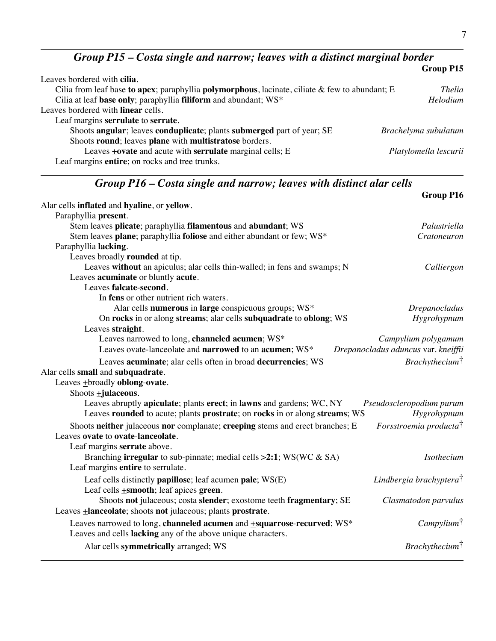*Group P15 – Costa single and narrow; leaves with a distinct marginal border*

|                                                                                                   | Group P15             |
|---------------------------------------------------------------------------------------------------|-----------------------|
| Leaves bordered with cilia.                                                                       |                       |
| Cilia from leaf base to apex; paraphyllia polymorphous, lacinate, ciliate $\&$ few to abundant; E | <i>Thelia</i>         |
| Cilia at leaf base only; paraphyllia filiform and abundant; WS*                                   | <b>Helodium</b>       |
| Leaves bordered with <b>linear</b> cells.                                                         |                       |
| Leaf margins serrulate to serrate.                                                                |                       |
| Shoots angular; leaves conduplicate; plants submerged part of year; SE                            | Brachelyma subulatum  |
| Shoots round; leaves plane with multistratose borders.                                            |                       |
| Leaves $\pm$ ovate and acute with serrulate marginal cells; E                                     | Platylomella lescurii |
| Leaf margins entire; on rocks and tree trunks.                                                    |                       |

# *Group P16 – Costa single and narrow; leaves with distinct alar cells*

|                                                                               | <b>Group P16</b>                    |
|-------------------------------------------------------------------------------|-------------------------------------|
| Alar cells inflated and hyaline, or yellow.                                   |                                     |
| Paraphyllia present.                                                          |                                     |
| Stem leaves plicate; paraphyllia filamentous and abundant; WS                 | Palustriella                        |
| Stem leaves plane; paraphyllia foliose and either abundant or few; WS*        | Cratoneuron                         |
| Paraphyllia lacking.                                                          |                                     |
| Leaves broadly rounded at tip.                                                |                                     |
| Leaves without an apiculus; alar cells thin-walled; in fens and swamps; N     | Calliergon                          |
| Leaves acuminate or bluntly acute.                                            |                                     |
| Leaves falcate-second.                                                        |                                     |
| In fens or other nutrient rich waters.                                        |                                     |
| Alar cells numerous in large conspicuous groups; WS*                          | Drepanocladus                       |
| On rocks in or along streams; alar cells subquadrate to oblong; WS            | Hygrohypnum                         |
| Leaves straight.                                                              |                                     |
| Leaves narrowed to long, channeled acumen; WS*                                | Campylium polygamum                 |
| Leaves ovate-lanceolate and narrowed to an acumen; WS*                        | Drepanocladus aduncus var. kneiffii |
| Leaves acuminate; alar cells often in broad decurrencies; WS                  | Brachy the cium <sup>†</sup>        |
| Alar cells small and subquadrate.                                             |                                     |
| Leaves $\pm$ broadly oblong-ovate.                                            |                                     |
| Shoots $\pm$ <b>julaceous</b> .                                               |                                     |
| Leaves abruptly apiculate; plants erect; in lawns and gardens; WC, NY         | Pseudoscleropodium purum            |
| Leaves rounded to acute; plants prostrate; on rocks in or along streams; WS   | Hygrohypnum                         |
| Shoots neither julaceous nor complanate; creeping stems and erect branches; E | Forsstroemia producta <sup>†</sup>  |
| Leaves ovate to ovate-lanceolate.                                             |                                     |
| Leaf margins serrate above.                                                   |                                     |
| Branching <b>irregular</b> to sub-pinnate; medial cells $>2:1$ ; WS(WC & SA)  | <b>Isothecium</b>                   |
| Leaf margins entire to serrulate.                                             |                                     |
| Leaf cells distinctly papillose; leaf acumen pale; WS(E)                      | Lindbergia brachyptera <sup>†</sup> |
| Leaf cells $\pm$ smooth; leaf apices green.                                   |                                     |
| Shoots not julaceous; costa slender; exostome teeth fragmentary; SE           |                                     |
| Leaves <b>+lanceolate</b> ; shoots not julaceous; plants prostrate.           | Clasmatodon parvulus                |
|                                                                               |                                     |
| Leaves narrowed to long, channeled acumen and +squarrose-recurved; WS*        | Campylium <sup>†</sup>              |
| Leaves and cells lacking any of the above unique characters.                  |                                     |
| Alar cells symmetrically arranged; WS                                         | Brachy the cium <sup>†</sup>        |
|                                                                               |                                     |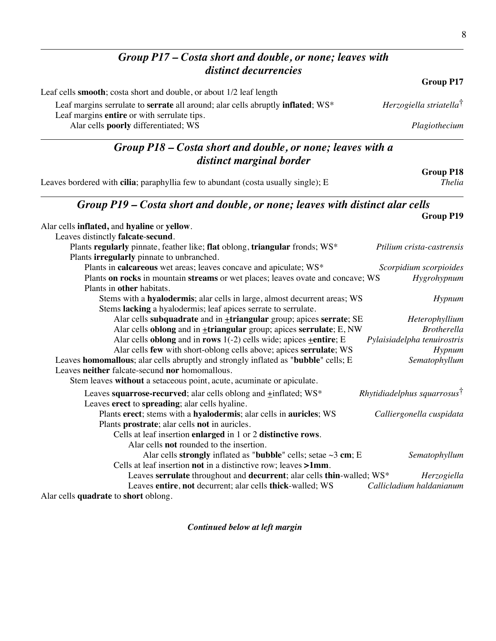#### *Group P17 – Costa short and double, or none; leaves with distinct decurrencies* **Group P17** Leaf cells **smooth**; costa short and double, or about 1/2 leaf length Leaf margins serrulate to **serrate** all around; alar cells abruptly **inflated**; WS\* *Herzogiella striatella*† Leaf margins **entire** or with serrulate tips. Alar cells **poorly** differentiated; WS *Plagiothecium Group P18 – Costa short and double, or none; leaves with a distinct marginal border* **Group P18** Leaves bordered with **cilia**; paraphyllia few to abundant (costa usually single); E *Group P19 – Costa short and double, or none; leaves with distinct alar cells* **Group P19** Alar cells **inflated,** and **hyaline** or **yellow**. Leaves distinctly **falcate**-**secund**. Plants **regularly** pinnate, feather like; **flat** oblong, **triangular** fronds; WS\* *Ptilium crista-castrensis* Plants **irregularly** pinnate to unbranched. Plants in **calcareous** wet areas; leaves concave and apiculate; WS\* *Scorpidium scorpioides* Plants **on rocks** in mountain **streams** or wet places; leaves ovate and concave; WS *Hygrohypnum* Plants in **other** habitats. Stems with a **hyalodermis**; alar cells in large, almost decurrent areas; WS *Hypnum* Stems **lacking** a hyalodermis; leaf apices serrate to serrulate. Alar cells **subquadrate** and in **triangular** group; apices **serrate**; SE *Heterophyllium* Alar cells **oblong** and in **+triangular** group; apices **serrulate**; E, NW *Brotherella* Alar cells **oblong** and in **rows** 1(-2) cells wide; apices +**entire**; E *Pylaisiadelpha tenuirostris* Alar cells **few** with short-oblong cells above; apices **serrulate**; WS *Hypnum* Leaves **homomallous**; alar cells abruptly and strongly inflated as "**bubble**" cells; E *Sematophyllum* Leaves **neither** falcate-secund **nor** homomallous. Stem leaves **without** a setaceous point, acute, acuminate or apiculate. Leaves **squarrose-recurved**; alar cells oblong and  $\pm$ inflated; WS<sup>\*</sup> *Rhytidiadelphus squarrosus*<sup>†</sup> Leaves **erect** to **spreading**; alar cells hyaline. Plants **erect**; stems with a **hyalodermis**; alar cells in **auricles**; WS *Calliergonella cuspidata* Plants **prostrate**; alar cells **not** in auricles. Cells at leaf insertion **enlarged** in 1 or 2 **distinctive rows**. Alar cells **not** rounded to the insertion. Alar cells **strongly** inflated as "**bubble**" cells; setae ~3 **cm**; E *Sematophyllum* Cells at leaf insertion **not** in a distinctive row; leaves **>1mm**. Leaves **serrulate** throughout and **decurrent**; alar cells **thin**-walled; WS\* *Herzogiella* Leaves **entire**, **not** decurrent; alar cells **thick**-walled; WS *Callicladium haldanianum* Alar cells **quadrate** to **short** oblong.

*Continued below at left margin*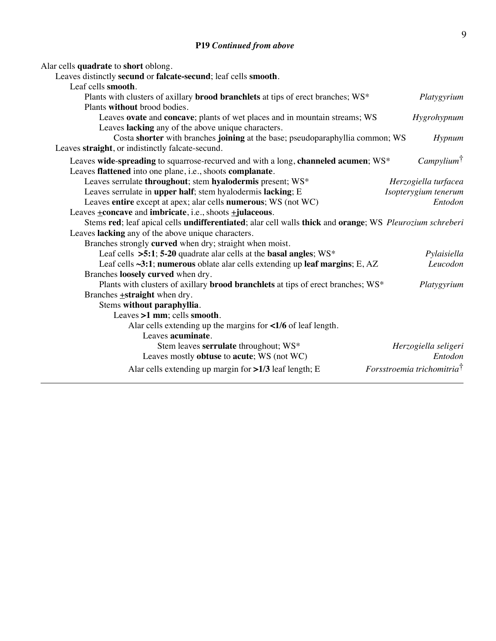| Alar cells quadrate to short oblong.                                                                     |                                        |
|----------------------------------------------------------------------------------------------------------|----------------------------------------|
| Leaves distinctly secund or falcate-secund; leaf cells smooth.                                           |                                        |
| Leaf cells smooth.                                                                                       |                                        |
| Plants with clusters of axillary brood branchlets at tips of erect branches; WS*                         | Platygyrium                            |
| Plants without brood bodies.                                                                             |                                        |
| Leaves ovate and concave; plants of wet places and in mountain streams; WS                               | Hygrohypnum                            |
| Leaves lacking any of the above unique characters.                                                       |                                        |
| Costa shorter with branches joining at the base; pseudoparaphyllia common; WS                            | Hypnum                                 |
| Leaves straight, or indistinctly falcate-secund.                                                         |                                        |
| Leaves wide-spreading to squarrose-recurved and with a long, channeled acumen; WS*                       | Campylium <sup>†</sup>                 |
| Leaves flattened into one plane, i.e., shoots complanate.                                                |                                        |
| Leaves serrulate throughout; stem hyalodermis present; WS*                                               | Herzogiella turfacea                   |
| Leaves serrulate in upper half; stem hyalodermis lacking; E                                              | Isopterygium tenerum                   |
| Leaves entire except at apex; alar cells numerous; WS (not WC)                                           | Entodon                                |
| Leaves $\pm$ <b>concave</b> and <b>imbricate</b> , i.e., shoots $\pm$ <b>julaceous</b> .                 |                                        |
| Stems red; leaf apical cells undifferentiated; alar cell walls thick and orange; WS Pleurozium schreberi |                                        |
| Leaves lacking any of the above unique characters.                                                       |                                        |
| Branches strongly curved when dry; straight when moist.                                                  |                                        |
| Leaf cells $>5:1$ ; 5-20 quadrate alar cells at the basal angles; WS*                                    | Pylaisiella                            |
| Leaf cells ~3:1; numerous oblate alar cells extending up leaf margins; E, AZ                             | Leucodon                               |
| Branches loosely curved when dry.                                                                        |                                        |
| Plants with clusters of axillary brood branchlets at tips of erect branches; WS*                         | Platygyrium                            |
| Branches $\pm$ straight when dry.                                                                        |                                        |
| Stems without paraphyllia.                                                                               |                                        |
| Leaves $>1$ mm; cells smooth.                                                                            |                                        |
| Alar cells extending up the margins for <1/6 of leaf length.                                             |                                        |
| Leaves acuminate.                                                                                        |                                        |
| Stem leaves serrulate throughout; WS*                                                                    | Herzogiella seligeri                   |
| Leaves mostly obtuse to acute; WS (not WC)                                                               | Entodon                                |
| Alar cells extending up margin for >1/3 leaf length; E                                                   | Forsstroemia trichomitria <sup>†</sup> |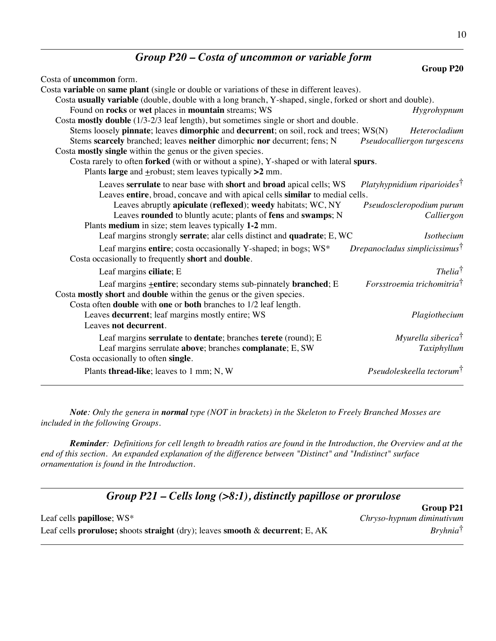# *Group P20 – Costa of uncommon or variable form*

| Costa of <b>uncommon</b> form.                                                                            |                                           |
|-----------------------------------------------------------------------------------------------------------|-------------------------------------------|
| Costa variable on same plant (single or double or variations of these in different leaves).               |                                           |
| Costa usually variable (double, double with a long branch, Y-shaped, single, forked or short and double). |                                           |
| Found on rocks or wet places in mountain streams; WS                                                      | Hygrohypnum                               |
| Costa mostly double (1/3-2/3 leaf length), but sometimes single or short and double.                      |                                           |
| Stems loosely pinnate; leaves dimorphic and decurrent; on soil, rock and trees; WS(N)                     | Heterocladium                             |
| Stems scarcely branched; leaves neither dimorphic nor decurrent; fens; N                                  | Pseudocalliergon turgescens               |
| Costa mostly single within the genus or the given species.                                                |                                           |
| Costa rarely to often forked (with or without a spine), Y-shaped or with lateral spurs.                   |                                           |
| Plants large and $\pm$ robust; stem leaves typically >2 mm.                                               |                                           |
| Leaves serrulate to near base with short and broad apical cells; WS                                       | Platyhypnidium riparioides <sup>†</sup>   |
| Leaves entire, broad, concave and with apical cells similar to medial cells.                              |                                           |
| Leaves abruptly apiculate (reflexed); weedy habitats; WC, NY                                              | Pseudoscleropodium purum                  |
| Leaves rounded to bluntly acute; plants of fens and swamps; N                                             | Calliergon                                |
| Plants medium in size; stem leaves typically 1-2 mm.                                                      |                                           |
| Leaf margins strongly serrate; alar cells distinct and quadrate; E, WC                                    | Isothecium                                |
| Leaf margins entire; costa occasionally Y-shaped; in bogs; WS*                                            | Drepanocladus simplicissimus <sup>†</sup> |
| Costa occasionally to frequently short and double.                                                        |                                           |
| Leaf margins ciliate; E                                                                                   | $The lia^{\dagger}$                       |
| Leaf margins <b>+entire</b> ; secondary stems sub-pinnately <b>branched</b> ; E                           | Forsstroemia trichomitria <sup>†</sup>    |
| Costa mostly short and double within the genus or the given species.                                      |                                           |
| Costa often <b>double</b> with one or both branches to 1/2 leaf length.                                   |                                           |
| Leaves decurrent; leaf margins mostly entire; WS                                                          | Plagiothecium                             |
| Leaves not decurrent.                                                                                     |                                           |
| Leaf margins serrulate to dentate; branches terete (round); E                                             | Myurella siberica <sup>†</sup>            |
| Leaf margins serrulate above; branches complanate; E, SW                                                  | Taxiphyllum                               |
| Costa occasionally to often single.                                                                       |                                           |
| Plants thread-like; leaves to 1 mm; N, W                                                                  | Pseudoleskeella tectorum <sup>†</sup>     |

*Note: Only the genera in normal type (NOT in brackets) in the Skeleton to Freely Branched Mosses are included in the following Groups.*

*Reminder: Definitions for cell length to breadth ratios are found in the Introduction, the Overview and at the end of this section. An expanded explanation of the difference between "Distinct" and "Indistinct" surface ornamentation is found in the Introduction.*

| Group $P21$ – Cells long (>8:1), distinctly papillose or prorulose                   |                           |
|--------------------------------------------------------------------------------------|---------------------------|
|                                                                                      | Group P21                 |
| Leaf cells <b>papillose</b> ; WS*                                                    | Chryso-hypnum diminutivum |
| Leaf cells <b>prorulose;</b> shoots straight (dry); leaves smooth & decurrent; E, AK | $Bryhnia^{\dagger}$       |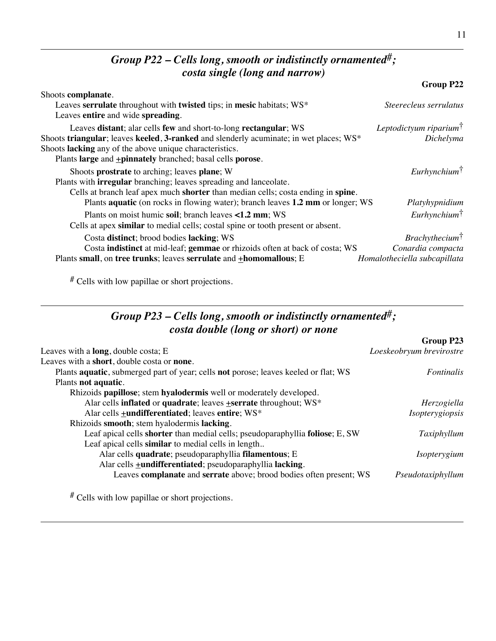### *Group P22 – Cells long, smooth or indistinctly ornamented*#*; costa single (long and narrow)*

|                                                                                                            | Group P22                       |
|------------------------------------------------------------------------------------------------------------|---------------------------------|
| Shoots complanate.                                                                                         |                                 |
| Leaves serrulate throughout with twisted tips; in mesic habitats; WS*<br>Leaves entire and wide spreading. | Steerecleus serrulatus          |
| Leaves distant; alar cells few and short-to-long rectangular; WS                                           | Leptodictyum riparium $\dagger$ |
| Shoots triangular; leaves keeled, 3-ranked and slenderly acuminate; in wet places; $WS^*$                  | Dichelyma                       |
| Shoots lacking any of the above unique characteristics.                                                    |                                 |
| Plants large and +pinnately branched; basal cells porose.                                                  |                                 |
| Shoots prostrate to arching; leaves plane; W                                                               | $Eurh$ ynchium <sup>†</sup>     |
| Plants with <b>irregular</b> branching; leaves spreading and lanceolate.                                   |                                 |
| Cells at branch leaf apex much shorter than median cells; costa ending in spine.                           |                                 |
| Plants <b>aquatic</b> (on rocks in flowing water); branch leaves 1.2 mm or longer; WS                      | Platyhypnidium                  |
| Plants on moist humic soil; branch leaves <1.2 mm; WS                                                      | $Eurh$ ynchium <sup>†</sup>     |
| Cells at apex similar to medial cells; costal spine or tooth present or absent.                            |                                 |
| Costa distinct; brood bodies lacking; WS                                                                   | Brachy the cium <sup>†</sup>    |
| Costa indistinct at mid-leaf; gemmae or rhizoids often at back of costa; WS                                | Conardia compacta               |
| Plants small, on tree trunks; leaves serrulate and +homomallous; E                                         | Homalotheciella subcapillata    |

# Cells with low papillae or short projections.

## *Group P23 – Cells long, smooth or indistinctly ornamented*#*; costa double (long or short) or none*

|                                                                                     | OLVUP LEV                |
|-------------------------------------------------------------------------------------|--------------------------|
| Leaves with a <b>long</b> , double costa; $E$                                       | Loeskeobryum brevirostre |
| Leaves with a short, double costa or none.                                          |                          |
| Plants aquatic, submerged part of year; cells not porose; leaves keeled or flat; WS | <i>Fontinalis</i>        |
| Plants not aquatic.                                                                 |                          |
| Rhizoids papillose; stem hyalodermis well or moderately developed.                  |                          |
| Alar cells inflated or quadrate; leaves +serrate throughout; WS*                    | Herzogiella              |
| Alar cells <b>+undifferentiated</b> ; leaves entire; WS*                            | Isopterygiopsis          |
| Rhizoids smooth; stem hyalodermis lacking.                                          |                          |
| Leaf apical cells shorter than medial cells; pseudoparaphyllia foliose; E, SW       | Taxiphyllum              |
| Leaf apical cells similar to medial cells in length                                 |                          |
| Alar cells quadrate; pseudoparaphyllia filamentous; E                               | <i>Isopterygium</i>      |
| Alar cells <b>+undifferentiated</b> ; pseudoparaphyllia lacking.                    |                          |
| Leaves complanate and serrate above; brood bodies often present; WS                 | Pseudotaxiphyllum        |
|                                                                                     |                          |

# Cells with low papillae or short projections.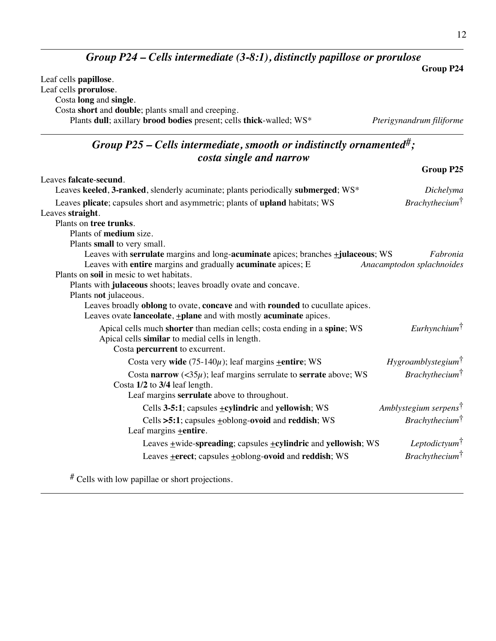# *Group P24 – Cells intermediate (3-8:1), distinctly papillose or prorulose*

|                                                                                                                                                                                                       | <b>Group P24</b>                  |
|-------------------------------------------------------------------------------------------------------------------------------------------------------------------------------------------------------|-----------------------------------|
| Leaf cells papillose.<br>Leaf cells prorulose.<br>Costa long and single.<br>Costa short and double; plants small and creeping.<br>Plants dull; axillary brood bodies present; cells thick-walled; WS* | Pterigynandrum filiforme          |
| Group P25 – Cells intermediate, smooth or indistinctly ornamented <sup>#</sup> ;                                                                                                                      |                                   |
| costa single and narrow                                                                                                                                                                               |                                   |
|                                                                                                                                                                                                       | Group P25                         |
| Leaves falcate-secund.                                                                                                                                                                                |                                   |
| Leaves keeled, 3-ranked, slenderly acuminate; plants periodically submerged; WS*                                                                                                                      | Dichelyma                         |
| Leaves plicate; capsules short and asymmetric; plants of upland habitats; WS                                                                                                                          | Brachy the cium <sup>†</sup>      |
| Leaves straight.                                                                                                                                                                                      |                                   |
| Plants on tree trunks.                                                                                                                                                                                |                                   |
| Plants of medium size.                                                                                                                                                                                |                                   |
| Plants small to very small.                                                                                                                                                                           |                                   |
| Leaves with serrulate margins and long-acuminate apices; branches $\pm$ julaceous; WS                                                                                                                 | Fabronia                          |
| Leaves with entire margins and gradually acuminate apices; E                                                                                                                                          | Anacamptodon splachnoides         |
| Plants on soil in mesic to wet habitats.<br>Plants with julaceous shoots; leaves broadly ovate and concave.                                                                                           |                                   |
| Plants not julaceous.                                                                                                                                                                                 |                                   |
| Leaves broadly oblong to ovate, concave and with rounded to cucullate apices.                                                                                                                         |                                   |
| Leaves ovate lanceolate, +plane and with mostly acuminate apices.                                                                                                                                     |                                   |
| Apical cells much shorter than median cells; costa ending in a spine; WS                                                                                                                              | $Eurh$ ynchium $\uparrow$         |
| Apical cells similar to medial cells in length.                                                                                                                                                       |                                   |
| Costa percurrent to excurrent.                                                                                                                                                                        |                                   |
| Costa very wide $(75-140\mu)$ ; leaf margins <b>+entire</b> ; WS                                                                                                                                      | $Hy$ groamblystegium $\dagger$    |
| Costa narrow (< $35\mu$ ); leaf margins serrulate to serrate above; WS                                                                                                                                | <i>Brachythecium</i> <sup>†</sup> |
| Costa 1/2 to 3/4 leaf length.                                                                                                                                                                         |                                   |
| Leaf margins serrulate above to throughout.                                                                                                                                                           |                                   |
| Cells 3-5:1; capsules <b>+cylindric</b> and yellowish; WS                                                                                                                                             | Amblystegium serpens <sup>†</sup> |
| Cells >5:1; capsules +oblong-ovoid and reddish; WS                                                                                                                                                    | $Brachy the cium^{\dagger}$       |
| Leaf margins $\pm$ entire.                                                                                                                                                                            |                                   |
| Leaves +wide-spreading; capsules +cylindric and yellowish; WS                                                                                                                                         | Leptodictyum $\dagger$            |
| Leaves + erect; capsules + oblong-ovoid and reddish; WS                                                                                                                                               | $Brachy the cium^{\dagger}$       |
|                                                                                                                                                                                                       |                                   |

# Cells with low papillae or short projections.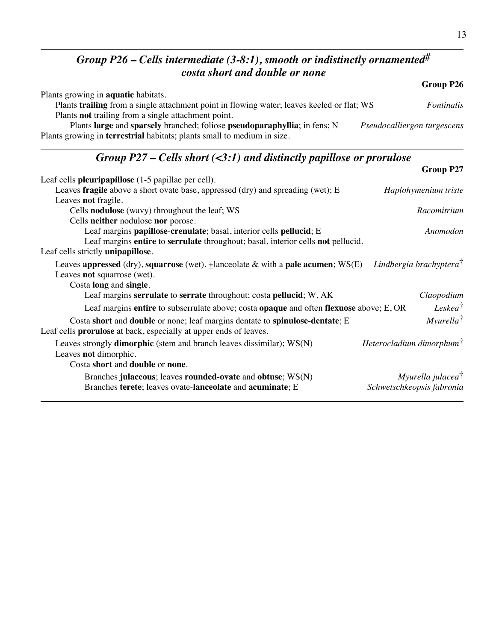# *Group P26 – Cells intermediate (3-8:1), smooth or indistinctly ornamented*# *costa short and double or none*

|                                                                                            | Group P26                   |
|--------------------------------------------------------------------------------------------|-----------------------------|
| Plants growing in <b>aquatic</b> habitats.                                                 |                             |
| Plants trailing from a single attachment point in flowing water; leaves keeled or flat; WS | <i>Fontinalis</i>           |
| Plants <b>not</b> trailing from a single attachment point.                                 |                             |
| Plants large and sparsely branched; foliose pseudoparaphyllia; in fens; N                  | Pseudocalliergon turgescens |
| Plants growing in <b>terrestrial</b> habitats; plants small to medium in size.             |                             |

### *Group P27 – Cells short (<3:1) and distinctly papillose or prorulose*

|                                                                                                                                                          | <b>Group P27</b>                     |
|----------------------------------------------------------------------------------------------------------------------------------------------------------|--------------------------------------|
| Leaf cells <b>pleuripapillose</b> (1-5 papillae per cell).                                                                                               |                                      |
| Leaves fragile above a short ovate base, appressed (dry) and spreading (wet); E                                                                          | Haplohymenium triste                 |
| Leaves not fragile.                                                                                                                                      |                                      |
| Cells <b>nodulose</b> (wavy) throughout the leaf; WS                                                                                                     | Racomitrium                          |
| Cells neither nodulose nor porose.                                                                                                                       |                                      |
| Leaf margins papillose-crenulate; basal, interior cells pellucid; E                                                                                      | Anomodon                             |
| Leaf margins entire to serrulate throughout; basal, interior cells not pellucid.                                                                         |                                      |
| Leaf cells strictly unipapillose.                                                                                                                        |                                      |
| Leaves appressed (dry), squarrose (wet), $\pm$ lanceolate & with a pale acumen; WS(E)<br>Leaves not squarrose (wet).<br>Costa long and single.           | Lindbergia brachyptera <sup>†</sup>  |
| Leaf margins serrulate to serrate throughout; costa pellucid; W, AK                                                                                      | Claopodium                           |
| Leaf margins entire to subserrulate above; costa opaque and often flexuose above; E, OR                                                                  | Leskea <sup>†</sup>                  |
| Costa short and double or none; leaf margins dentate to spinulose-dentate; E<br>Leaf cells <b>prorulose</b> at back, especially at upper ends of leaves. | <i>Myurella<sup>†</sup></i>          |
| Leaves strongly <b>dimorphic</b> (stem and branch leaves dissimilar); $WS(N)$<br>Leaves not dimorphic.                                                   | Heterocladium dimorphum <sup>†</sup> |
| Costa short and double or none.                                                                                                                          |                                      |
| Branches julaceous; leaves rounded-ovate and obtuse; WS(N)                                                                                               | Myurella julacea <sup>†</sup>        |
| Branches terete; leaves ovate-lanceolate and acuminate; E                                                                                                | Schwetschkeopsis fabronia            |